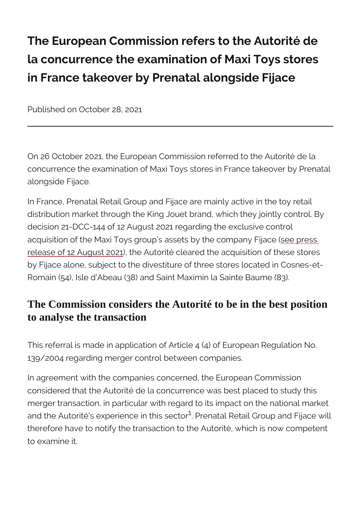The European Commission refers to the la concurrence the examination of Maxi in France takeover by Prenatal alongsid

Published on October 28, 2021

On 26 October 2021, the European Commission referred to concurrence the examination of Maxi Toys stores in Fran alongside Fijace.

In France, Prenatal Retail Group and Fijace are mainly a distribution market through the King Jouet brand, which the decision 21-DCC-144 of 12 August 2021 regarding the exacquisition of the Maxi Toys group s assetssleve the escsompa [release of 12 Au](https://www.autoritedelaconcurrence.fr/en/press-release/autorite-de-la-concurrence-clears-takeover-95-maxi-toys-stores-fijace-king-jouet)gushe 2021 dorité cleared the acquisition of by Fijace alone, subject to the divestiture of three store Romain (54), Isle d'Abeau (38) and Saint Maximin la Sair

## The Commission considers the Autorité to be in the best position to analyse the transaction

This referral is made in application of Article 4 (4) of Eu 139/2004 regarding merger control between companies.

In agreement with the companies concerned, the Europea considered that the Autorité de la concurrence was best merger transaction, in particular with regard to its impactually and the Autorité's experien $c^1$ e Pinethaitsals eRoetbaril Group and I therefore have to notify the transaction to the Autorité, to examine it.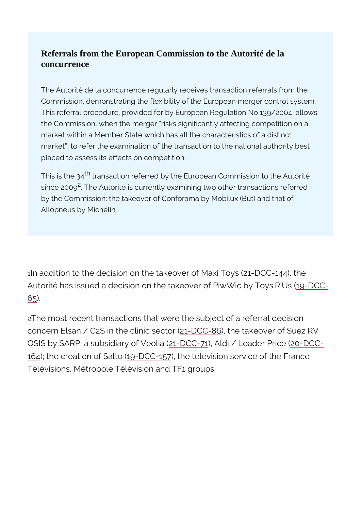Referrals from the European Commission to the Autorité de la concurrence

The Autorité de la concurrence regularly receives transaction Commission, demonstrating the flexibility of the European me This referral procedure, provided for by European Regulation the Commission, when the merger risks significantly affecting market within a Member State which has all the characteristic market, to refer the examination of the transaction to the na placed to assess its effects on competition.

This is the  $r$ 3 and the referred by the European Commission to since 200Bhe Autorité is currently examining two other transa by the Commission: the takeover of Conforama by Mobilux (But) Allopneus by Michelin.

1In addition to the decision on the ta $\frac{Re\Theta\cdot\Omega\cdot\Theta}{2}$  **44**  $\frac{Re\Theta\cdot\Omega}{2}$  Toys Autorité has issued a decision on the takeover **Of DPC @** Wic  $65$ .

2The most recent transactions that were the subject of a concern Elsan /  $C2S$  in the  $c$  t+DnC $C$ - $S$  about takeover of Suez OSIS by SARP, a subsidi2a1ryDoCfC)V, ZAbildia / Leade20PDiCe = ( [16](https://www.autoritedelaconcurrence.fr/fr/decision-de-controle-des-concentrations/relative-la-prise-de-controle-exclusif-dactifs-de-la-5)4; the creation  $\log$  -  $\delta$  ClCo 1(5the television service of the F Télévisions, Métropole Télévision and TF1 groups.